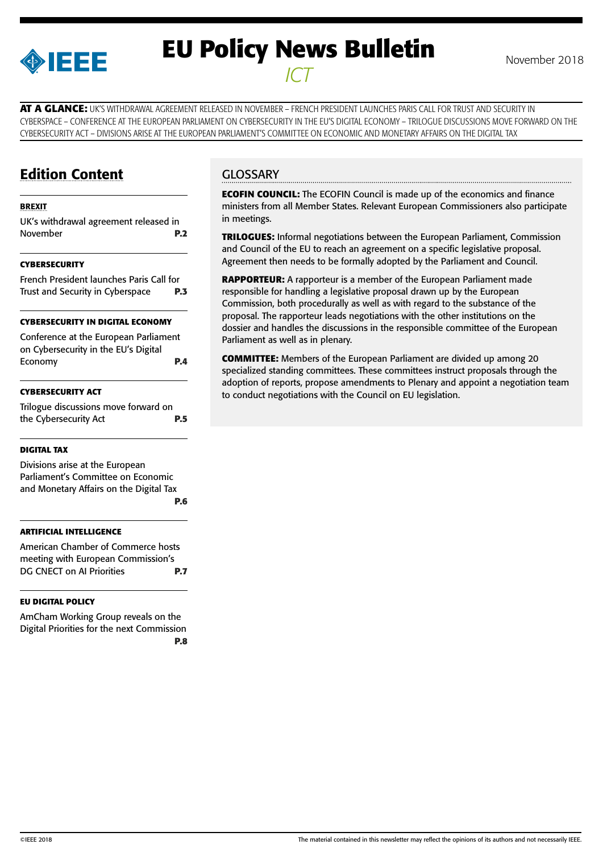

# **EU Policy News Bulletin** November 2018 *ICT*

**AT A GLANCE:** UK'S WITHDRAWAL AGREEMENT RELEASED IN NOVEMBER – FRENCH PRESIDENT LAUNCHES PARIS CALL FOR TRUST AND SECURITY IN CYBERSPACE – CONFERENCE AT THE EUROPEAN PARLIAMENT ON CYBERSECURITY IN THE EU'S DIGITAL ECONOMY – TRILOGUE DISCUSSIONS MOVE FORWARD ON THE CYBERSECURITY ACT – DIVISIONS ARISE AT THE EUROPEAN PARLIAMENT'S COMMITTEE ON ECONOMIC AND MONETARY AFFAIRS ON THE DIGITAL TAX

# Edition Content

#### [BREXIT](#page-1-0)

[UK's withdrawal agreement released in](#page-1-0)  [November](#page-1-0) **P.2**

#### **[CYBERSECURITY](#page-2-0)**

[French President launches Paris Call for](#page-2-0)  [Trust and Security in Cyberspace](#page-2-0) **P.3**

#### **[CYBERSECURITY IN DIGITAL ECONOMY](#page-3-0)**

[Conference at the European Parliament](#page-3-0)  [on Cybersecurity in the EU's Digital](#page-3-0)  [Economy](#page-3-0) **P.4**

#### **[CYBERSECURITY ACT](#page-4-0)**

[Trilogue discussions move forward on](#page-4-0)  [the Cybersecurity Act](#page-4-0) **P.5**

#### **[DIGITAL TAX](#page-5-0)**

[Divisions arise at the European](#page-5-0)  [Parliament's Committee on Economic](#page-5-0)  [and Monetary Affairs on the Digital Tax](#page-5-0) **[P.6](#page-5-0)**

#### **[ARTIFICIAL INTELLIGENCE](#page-6-0)**

[American Chamber of Commerce hosts](#page-6-0)  [meeting with European Commission's](#page-6-0)  [DG CNECT on AI Priorities](#page-6-0) **P.7**

#### **[EU DIGITAL POLICY](#page-7-0)**

[AmCham Working Group reveals on the](#page-7-0)  [Digital Priorities for the next Commission](#page-7-0) **D.8** 

### **GLOSSARY**

**ECOFIN COUNCIL:** The ECOFIN Council is made up of the economics and finance ministers from all Member States. Relevant European Commissioners also participate in meetings.

**TRILOGUES:** Informal negotiations between the European Parliament, Commission and Council of the EU to reach an agreement on a specific legislative proposal. Agreement then needs to be formally adopted by the Parliament and Council.

**RAPPORTEUR:** A rapporteur is a member of the European Parliament made responsible for handling a legislative proposal drawn up by the European Commission, both procedurally as well as with regard to the substance of the proposal. The rapporteur leads negotiations with the other institutions on the dossier and handles the discussions in the responsible committee of the European Parliament as well as in plenary.

**COMMITTEE:** Members of the European Parliament are divided up among 20 specialized standing committees. These committees instruct proposals through the adoption of reports, propose amendments to Plenary and appoint a negotiation team to conduct negotiations with the Council on EU legislation.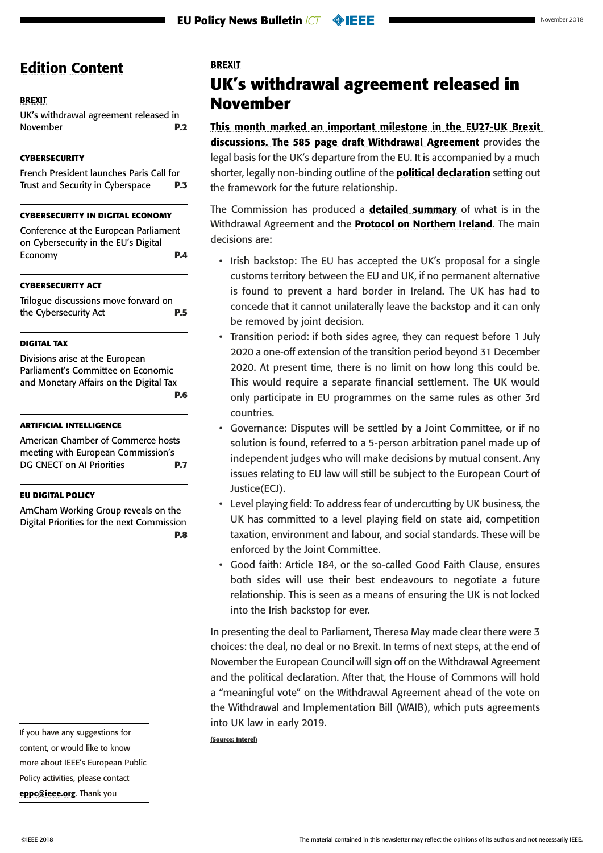#### <span id="page-1-0"></span>BREXIT

UK's withdrawal agreement released in November **P.2**

#### **[CYBERSECURITY](#page-2-0)**

[French President launches Paris Call for](#page-2-0)  [Trust and Security in Cyberspace](#page-2-0) **P.3**

#### **[CYBERSECURITY IN DIGITAL ECONOMY](#page-3-0)**

[Conference at the European Parliament](#page-3-0)  [on Cybersecurity in the EU's Digital](#page-3-0)  [Economy](#page-3-0) **P.4**

#### **[CYBERSECURITY ACT](#page-4-0)**

[Trilogue discussions move forward on](#page-4-0)  [the Cybersecurity Act](#page-4-0) **P.5**

#### **[DIGITAL TAX](#page-5-0)**

[Divisions arise at the European](#page-5-0)  [Parliament's Committee on Economic](#page-5-0)  [and Monetary Affairs on the Digital Tax](#page-5-0) **[P.6](#page-5-0)**

#### **[ARTIFICIAL INTELLIGENCE](#page-6-0)**

[American Chamber of Commerce hosts](#page-6-0)  [meeting with European Commission's](#page-6-0)  [DG CNECT on AI Priorities](#page-6-0) **P.7**

#### **[EU DIGITAL POLICY](#page-7-0)**

[AmCham Working Group reveals on the](#page-7-0)  [Digital Priorities for the next Commission](#page-7-0) **[P.8](#page-7-0)**

If you have any suggestions for content, or would like to know more about IEEE's European Public Policy activities, please contact [eppc@ieee.org](mailto:eppc%40ieee.org?subject=). Thank you

#### BREXIT

# **UK's withdrawal agreement released in November**

This month marked an important milestone in the EU27-UK Brexit discussions. The 585 page [draft Withdrawal Agreement](https://assets.publishing.service.gov.uk/government/uploads/system/uploads/attachment_data/file/756374/14_November_Draft_Agreement_on_the_Withdrawal_of_the_United_Kingdom_of_Great_Britain_and_Northern_Ireland_from_the_European_Union.pdf) provides the legal basis for the UK's departure from the EU. It is accompanied by a much shorter, legally non-binding outline of the **[political declaration](https://assets.publishing.service.gov.uk/government/uploads/system/uploads/attachment_data/file/756378/14_November_Outline_Political_Declaration_on_the_Future_Relationship.pdf)** setting out the framework for the future relationship.

The Commission has produced a **[detailed summary](http://europa.eu/rapid/press-release_MEMO-18-6422_en.htm?utm_source=POLITICO.EU&utm_campaign=0bef56f51c-EMAIL_CAMPAIGN_2018_11_15_06_49&utm_medium=email&utm_term=0_10959edeb5-0bef56f51c-189783713)** of what is in the Withdrawal Agreement and the **[Protocol on Northern Ireland](http://europa.eu/rapid/press-release_MEMO-18-6423_en.htm)**. The main decisions are:

- Irish backstop: The EU has accepted the UK's proposal for a single customs territory between the EU and UK, if no permanent alternative is found to prevent a hard border in Ireland. The UK has had to concede that it cannot unilaterally leave the backstop and it can only be removed by joint decision.
- Transition period: if both sides agree, they can request before 1 July 2020 a one-off extension of the transition period beyond 31 December 2020. At present time, there is no limit on how long this could be. This would require a separate financial settlement. The UK would only participate in EU programmes on the same rules as other 3rd countries.
- Governance: Disputes will be settled by a Joint Committee, or if no solution is found, referred to a 5-person arbitration panel made up of independent judges who will make decisions by mutual consent. Any issues relating to EU law will still be subject to the European Court of Justice(ECJ).
- Level playing field: To address fear of undercutting by UK business, the UK has committed to a level playing field on state aid, competition taxation, environment and labour, and social standards. These will be enforced by the Joint Committee.
- Good faith: Article 184, or the so-called Good Faith Clause, ensures both sides will use their best endeavours to negotiate a future relationship. This is seen as a means of ensuring the UK is not locked into the Irish backstop for ever.

In presenting the deal to Parliament, Theresa May made clear there were 3 choices: the deal, no deal or no Brexit. In terms of next steps, at the end of November the European Council will sign off on the Withdrawal Agreement and the political declaration. After that, the House of Commons will hold a "meaningful vote" on the Withdrawal Agreement ahead of the vote on the Withdrawal and Implementation Bill (WAIB), which puts agreements into UK law in early 2019.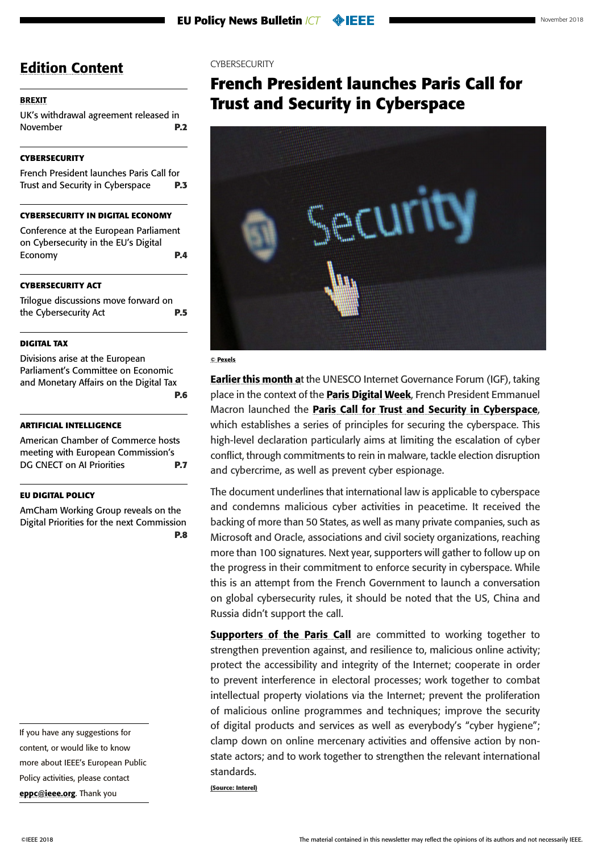#### <span id="page-2-0"></span>**[BREXIT](#page-1-0)**

[UK's withdrawal agreement released in](#page-1-0)  [November](#page-1-0) **P.2**

#### **CYBERSECURITY**

French President launches Paris Call for Trust and Security in Cyberspace **P.3**

#### **[CYBERSECURITY IN DIGITAL ECONOMY](#page-3-0)**

[Conference at the European Parliament](#page-3-0)  [on Cybersecurity in the EU's Digital](#page-3-0)  [Economy](#page-3-0) **P.4**

#### **[CYBERSECURITY ACT](#page-4-0)**

[Trilogue discussions move forward on](#page-4-0)  [the Cybersecurity Act](#page-4-0) **P.5**

#### **[DIGITAL TAX](#page-5-0)**

[Divisions arise at the European](#page-5-0)  [Parliament's Committee on Economic](#page-5-0)  [and Monetary Affairs on the Digital Tax](#page-5-0) **[P.6](#page-5-0)**

#### **[ARTIFICIAL INTELLIGENCE](#page-6-0)**

[American Chamber of Commerce hosts](#page-6-0)  [meeting with European Commission's](#page-6-0)  [DG CNECT on AI Priorities](#page-6-0) **P.7**

#### **[EU DIGITAL POLICY](#page-7-0)**

[AmCham Working Group reveals on the](#page-7-0)  [Digital Priorities for the next Commission](#page-7-0) **[P.8](#page-7-0)**

If you have any suggestions for content, or would like to know more about IEEE's European Public Policy activities, please contact [eppc@ieee.org](mailto:eppc%40ieee.org?subject=). Thank you

#### **CYBERSECURITY**

# **French President launches Paris Call for Trust and Security in Cyberspace**



#### © Pexels

**Earlier this month at the UNESCO Internet Governance Forum (IGF), taking** place in the context of the **[Paris Digital Week](https://www.gouvernement.fr/paris-digital-week-decouvrez-le-programme)**, French President Emmanuel Macron launched the **[Paris Call for Trust and Security in Cyberspace](https://www.diplomatie.gouv.fr/IMG/pdf/paris_call_text_-_en_cle06f918.pdf)**, which establishes a series of principles for securing the cyberspace. This high-level declaration particularly aims at limiting the escalation of cyber conflict, through commitments to rein in malware, tackle election disruption and cybercrime, as well as prevent cyber espionage.

The document underlines that international law is applicable to cyberspace and condemns malicious cyber activities in peacetime. It received the backing of more than 50 States, as well as many private companies, such as Microsoft and Oracle, associations and civil society organizations, reaching more than 100 signatures. Next year, supporters will gather to follow up on the progress in their commitment to enforce security in cyberspace. While this is an attempt from the French Government to launch a conversation on global cybersecurity rules, it should be noted that the US, China and Russia didn't support the call.

[Supporters of the Paris Call](https://www.diplomatie.gouv.fr/IMG/pdf/1_soutien_appel_paris_cle4c5edd.pdf) are committed to working together to strengthen prevention against, and resilience to, malicious online activity; protect the accessibility and integrity of the Internet; cooperate in order to prevent interference in electoral processes; work together to combat intellectual property violations via the Internet; prevent the proliferation of malicious online programmes and techniques; improve the security of digital products and services as well as everybody's "cyber hygiene"; clamp down on online mercenary activities and offensive action by nonstate actors; and to work together to strengthen the relevant international standards.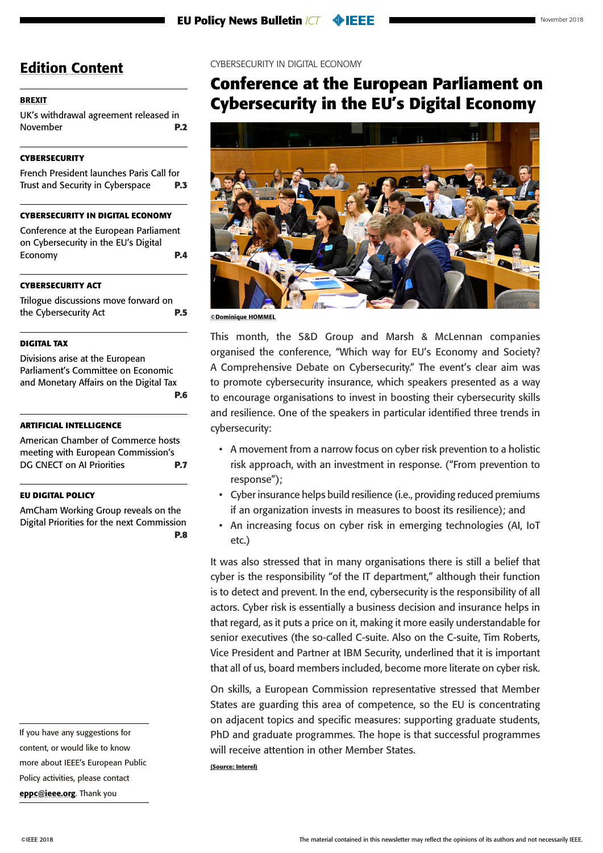### <span id="page-3-0"></span>[BREXIT](#page-1-0)

[UK's withdrawal agreement released in](#page-1-0)  [November](#page-1-0) **P.2**

### **[CYBERSECURITY](#page-2-0)**

[French President launches Paris Call for](#page-2-0)  [Trust and Security in Cyberspace](#page-2-0) **P.3**

### **CYBERSECURITY IN DIGITAL ECONOMY**

Conference at the European Parliament on Cybersecurity in the EU's Digital Economy **P.4**

### **[CYBERSECURITY ACT](#page-4-0)**

[Trilogue discussions move forward on](#page-4-0)  [the Cybersecurity Act](#page-4-0) **P.5**

#### **[DIGITAL TAX](#page-5-0)**

[Divisions arise at the European](#page-5-0)  [Parliament's Committee on Economic](#page-5-0)  [and Monetary Affairs on the Digital Tax](#page-5-0) **[P.6](#page-5-0)**

#### **[ARTIFICIAL INTELLIGENCE](#page-6-0)**

[American Chamber of Commerce hosts](#page-6-0)  [meeting with European Commission's](#page-6-0)  [DG CNECT on AI Priorities](#page-6-0) **P.7**

#### **[EU DIGITAL POLICY](#page-7-0)**

[AmCham Working Group reveals on the](#page-7-0)  [Digital Priorities for the next Commission](#page-7-0) **[P.8](#page-7-0)**

If you have any suggestions for content, or would like to know more about IEEE's European Public Policy activities, please contact [eppc@ieee.org](mailto:eppc%40ieee.org?subject=). Thank you

#### CYBERSECURITY IN DIGITAL ECONOMY

# **Conference at the European Parliament on Cybersecurity in the EU's Digital Economy**



©Dominique HOMMEL

This month, the S&D Group and Marsh & McLennan companies organised the conference, "Which way for EU's Economy and Society? A Comprehensive Debate on Cybersecurity." The event's clear aim was to promote cybersecurity insurance, which speakers presented as a way to encourage organisations to invest in boosting their cybersecurity skills and resilience. One of the speakers in particular identified three trends in cybersecurity:

- A movement from a narrow focus on cyber risk prevention to a holistic risk approach, with an investment in response. ("From prevention to response");
- Cyber insurance helps build resilience (i.e., providing reduced premiums if an organization invests in measures to boost its resilience); and
- An increasing focus on cyber risk in emerging technologies (AI, IoT etc.)

It was also stressed that in many organisations there is still a belief that cyber is the responsibility "of the IT department," although their function is to detect and prevent. In the end, cybersecurity is the responsibility of all actors. Cyber risk is essentially a business decision and insurance helps in that regard, as it puts a price on it, making it more easily understandable for senior executives (the so-called C-suite. Also on the C-suite, Tim Roberts, Vice President and Partner at IBM Security, underlined that it is important that all of us, board members included, become more literate on cyber risk.

On skills, a European Commission representative stressed that Member States are guarding this area of competence, so the EU is concentrating on adjacent topics and specific measures: supporting graduate students, PhD and graduate programmes. The hope is that successful programmes will receive attention in other Member States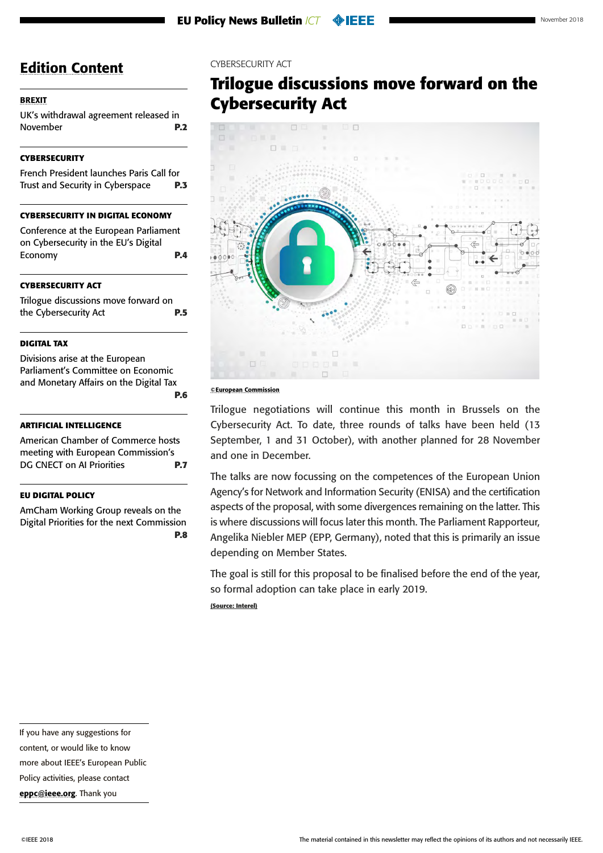#### <span id="page-4-0"></span>**[BREXIT](#page-1-0)**

[UK's withdrawal agreement released in](#page-1-0)  [November](#page-1-0) **P.2**

#### **[CYBERSECURITY](#page-2-0)**

[French President launches Paris Call for](#page-2-0)  [Trust and Security in Cyberspace](#page-2-0) **P.3**

#### **[CYBERSECURITY IN DIGITAL ECONOMY](#page-3-0)**

[Conference at the European Parliament](#page-3-0)  [on Cybersecurity in the EU's Digital](#page-3-0)  [Economy](#page-3-0) **P.4**

#### **CYBERSECURITY ACT**

Trilogue discussions move forward on the Cybersecurity Act **P.5**

#### **[DIGITAL TAX](#page-5-0)**

[Divisions arise at the European](#page-5-0)  [Parliament's Committee on Economic](#page-5-0)  [and Monetary Affairs on the Digital Tax](#page-5-0) **[P.6](#page-5-0)**

#### **[ARTIFICIAL INTELLIGENCE](#page-6-0)**

[American Chamber of Commerce hosts](#page-6-0)  [meeting with European Commission's](#page-6-0)  [DG CNECT on AI Priorities](#page-6-0) **P.7**

#### **[EU DIGITAL POLICY](#page-7-0)**

[AmCham Working Group reveals on the](#page-7-0)  [Digital Priorities for the next Commission](#page-7-0) **[P.8](#page-7-0)** CYBERSECURITY ACT

# **Trilogue discussions move forward on the Cybersecurity Act**



©European Commission

Trilogue negotiations will continue this month in Brussels on the Cybersecurity Act. To date, three rounds of talks have been held (13 September, 1 and 31 October), with another planned for 28 November and one in December.

The talks are now focussing on the competences of the European Union Agency's for Network and Information Security (ENISA) and the certification aspects of the proposal, with some divergences remaining on the latter. This is where discussions will focus later this month. The Parliament Rapporteur, Angelika Niebler MEP (EPP, Germany), noted that this is primarily an issue depending on Member States.

The goal is still for this proposal to be finalised before the end of the year, so formal adoption can take place in early 2019.

If you have any suggestions for

content, or would like to know

more about IEEE's European Public

Policy activities, please contact

[eppc@ieee.org](mailto:eppc%40ieee.org?subject=). Thank you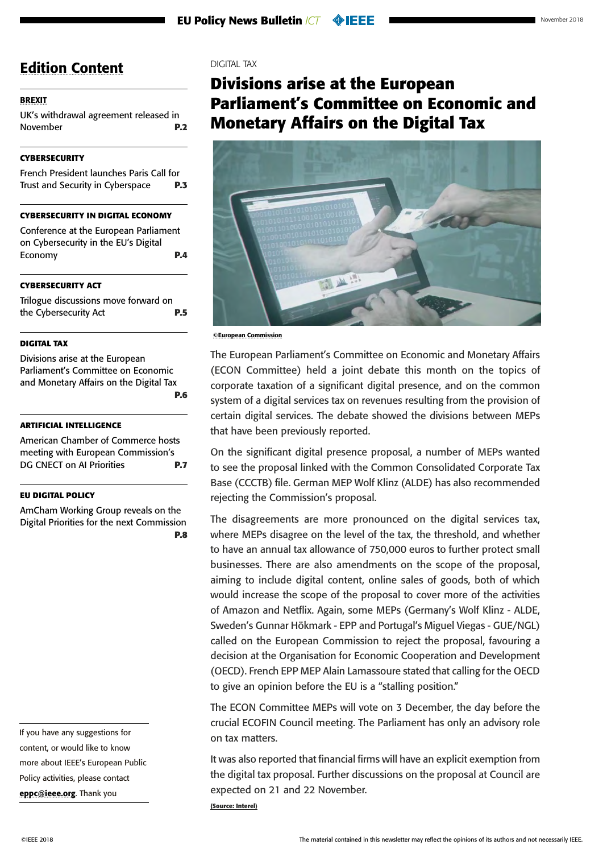#### <span id="page-5-0"></span>**[BREXIT](#page-1-0)**

[UK's withdrawal agreement released in](#page-1-0)  [November](#page-1-0) **P.2**

#### **[CYBERSECURITY](#page-2-0)**

[French President launches Paris Call for](#page-2-0)  [Trust and Security in Cyberspace](#page-2-0) **P.3**

#### **[CYBERSECURITY IN DIGITAL ECONOMY](#page-3-0)**

[Conference at the European Parliament](#page-3-0)  [on Cybersecurity in the EU's Digital](#page-3-0)  [Economy](#page-3-0) **P.4**

#### **[CYBERSECURITY ACT](#page-4-0)**

[Trilogue discussions move forward on](#page-4-0)  [the Cybersecurity Act](#page-4-0) **P.5**

#### **DIGITAL TAX**

Divisions arise at the European Parliament's Committee on Economic and Monetary Affairs on the Digital Tax **P.6**

#### **[ARTIFICIAL INTELLIGENCE](#page-6-0)**

[American Chamber of Commerce hosts](#page-6-0)  [meeting with European Commission's](#page-6-0)  [DG CNECT on AI Priorities](#page-6-0) **P.7**

#### **[EU DIGITAL POLICY](#page-7-0)**

[AmCham Working Group reveals on the](#page-7-0)  [Digital Priorities for the next Commission](#page-7-0) **[P.8](#page-7-0)**

If you have any suggestions for content, or would like to know more about IEEE's European Public Policy activities, please contact [eppc@ieee.org](mailto:eppc%40ieee.org?subject=). Thank you

#### DIGITAL TAX

# **Divisions arise at the European Parliament's Committee on Economic and Monetary Affairs on the Digital Tax**



©European Commission

The European Parliament's Committee on Economic and Monetary Affairs (ECON Committee) held a joint debate this month on the topics of corporate taxation of a significant digital presence, and on the common system of a digital services tax on revenues resulting from the provision of certain digital services. The debate showed the divisions between MEPs that have been previously reported.

On the significant digital presence proposal, a number of MEPs wanted to see the proposal linked with the Common Consolidated Corporate Tax Base (CCCTB) file. German MEP Wolf Klinz (ALDE) has also recommended rejecting the Commission's proposal.

The disagreements are more pronounced on the digital services tax, where MEPs disagree on the level of the tax, the threshold, and whether to have an annual tax allowance of 750,000 euros to further protect small businesses. There are also amendments on the scope of the proposal, aiming to include digital content, online sales of goods, both of which would increase the scope of the proposal to cover more of the activities of Amazon and Netflix. Again, some MEPs (Germany's Wolf Klinz - ALDE, Sweden's Gunnar Hökmark - EPP and Portugal's Miguel Viegas - GUE/NGL) called on the European Commission to reject the proposal, favouring a decision at the Organisation for Economic Cooperation and Development (OECD). French EPP MEP Alain Lamassoure stated that calling for the OECD to give an opinion before the EU is a "stalling position."

The ECON Committee MEPs will vote on 3 December, the day before the crucial ECOFIN Council meeting. The Parliament has only an advisory role on tax matters.

It was also reported that financial firms will have an explicit exemption from the digital tax proposal. Further discussions on the proposal at Council are expected on 21 and 22 November.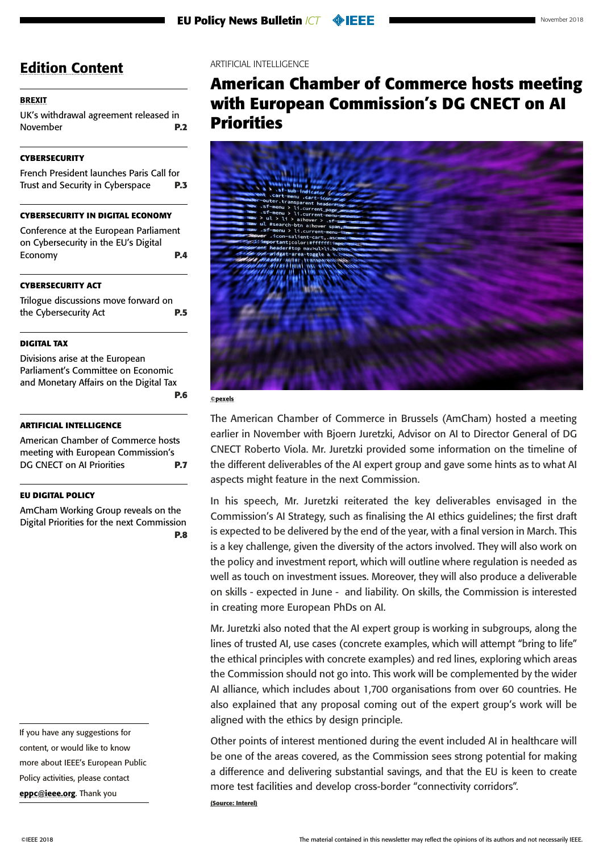#### <span id="page-6-0"></span>**[BREXIT](#page-1-0)**

[UK's withdrawal agreement released in](#page-1-0)  [November](#page-1-0) **P.2**

#### **[CYBERSECURITY](#page-2-0)**

[French President launches Paris Call for](#page-2-0)  [Trust and Security in Cyberspace](#page-2-0) **P.3**

#### **[CYBERSECURITY IN DIGITAL ECONOMY](#page-3-0)**

[Conference at the European Parliament](#page-3-0)  [on Cybersecurity in the EU's Digital](#page-3-0)  [Economy](#page-3-0) **P.4**

#### **[CYBERSECURITY ACT](#page-4-0)**

[Trilogue discussions move forward on](#page-4-0)  [the Cybersecurity Act](#page-4-0) **P.5**

#### **[DIGITAL TAX](#page-5-0)**

[Divisions arise at the European](#page-5-0)  [Parliament's Committee on Economic](#page-5-0)  [and Monetary Affairs on the Digital Tax](#page-5-0) **[P.6](#page-5-0)**

#### **ARTIFICIAL INTELLIGENCE**

American Chamber of Commerce hosts meeting with European Commission's DG CNECT on AI Priorities **P.7**

#### **[EU DIGITAL POLICY](#page-7-0)**

[AmCham Working Group reveals on the](#page-7-0)  [Digital Priorities for the next Commission](#page-7-0) **[P.8](#page-7-0)**

If you have any suggestions for content, or would like to know more about IEEE's European Public Policy activities, please contact [eppc@ieee.org](mailto:eppc%40ieee.org?subject=). Thank you

ARTIFICIAL INTELLIGENCE

# **American Chamber of Commerce hosts meeting with European Commission's DG CNECT on AI Priorities**

![](_page_6_Picture_20.jpeg)

©pexels

The American Chamber of Commerce in Brussels (AmCham) hosted a meeting earlier in November with Bjoern Juretzki, Advisor on AI to Director General of DG CNECT Roberto Viola. Mr. Juretzki provided some information on the timeline of the different deliverables of the AI expert group and gave some hints as to what AI aspects might feature in the next Commission.

In his speech, Mr. Juretzki reiterated the key deliverables envisaged in the Commission's AI Strategy, such as finalising the AI ethics guidelines; the first draft is expected to be delivered by the end of the year, with a final version in March. This is a key challenge, given the diversity of the actors involved. They will also work on the policy and investment report, which will outline where regulation is needed as well as touch on investment issues. Moreover, they will also produce a deliverable on skills - expected in June - and liability. On skills, the Commission is interested in creating more European PhDs on AI.

Mr. Juretzki also noted that the AI expert group is working in subgroups, along the lines of trusted AI, use cases (concrete examples, which will attempt "bring to life" the ethical principles with concrete examples) and red lines, exploring which areas the Commission should not go into. This work will be complemented by the wider AI alliance, which includes about 1,700 organisations from over 60 countries. He also explained that any proposal coming out of the expert group's work will be aligned with the ethics by design principle.

Other points of interest mentioned during the event included AI in healthcare will be one of the areas covered, as the Commission sees strong potential for making a difference and delivering substantial savings, and that the EU is keen to create more test facilities and develop cross-border "connectivity corridors".